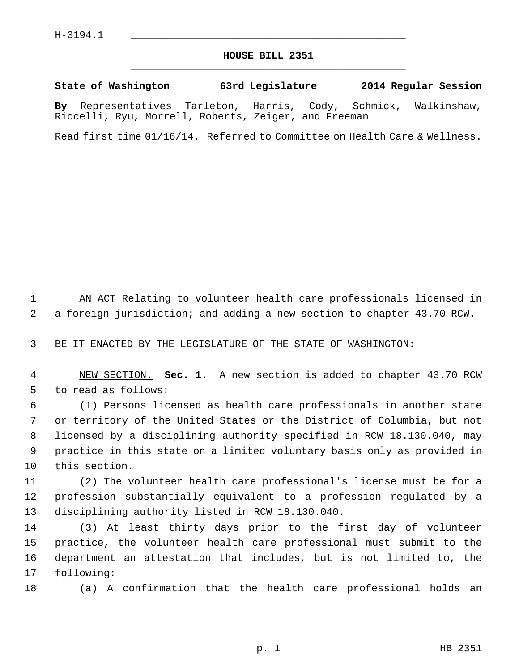## **HOUSE BILL 2351** \_\_\_\_\_\_\_\_\_\_\_\_\_\_\_\_\_\_\_\_\_\_\_\_\_\_\_\_\_\_\_\_\_\_\_\_\_\_\_\_\_\_\_\_\_

## **State of Washington 63rd Legislature 2014 Regular Session**

**By** Representatives Tarleton, Harris, Cody, Schmick, Walkinshaw, Riccelli, Ryu, Morrell, Roberts, Zeiger, and Freeman

Read first time 01/16/14. Referred to Committee on Health Care & Wellness.

 1 AN ACT Relating to volunteer health care professionals licensed in 2 a foreign jurisdiction; and adding a new section to chapter 43.70 RCW.

3 BE IT ENACTED BY THE LEGISLATURE OF THE STATE OF WASHINGTON:

 4 NEW SECTION. **Sec. 1.** A new section is added to chapter 43.70 RCW 5 to read as follows:

 6 (1) Persons licensed as health care professionals in another state 7 or territory of the United States or the District of Columbia, but not 8 licensed by a disciplining authority specified in RCW 18.130.040, may 9 practice in this state on a limited voluntary basis only as provided in 10 this section.

11 (2) The volunteer health care professional's license must be for a 12 profession substantially equivalent to a profession regulated by a 13 disciplining authority listed in RCW 18.130.040.

14 (3) At least thirty days prior to the first day of volunteer 15 practice, the volunteer health care professional must submit to the 16 department an attestation that includes, but is not limited to, the 17 following:

18 (a) A confirmation that the health care professional holds an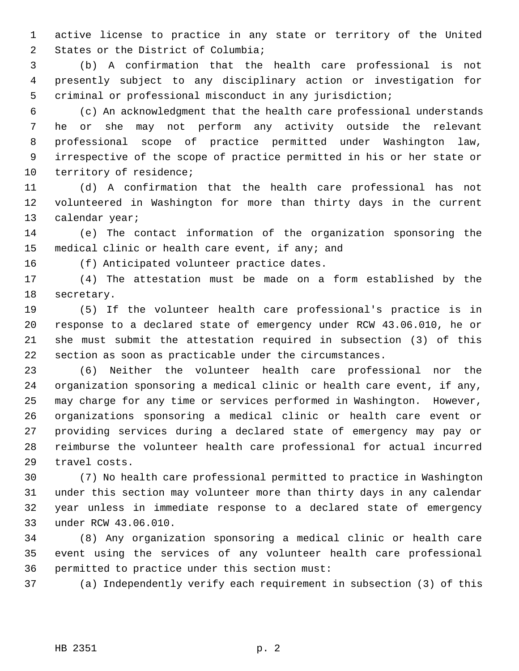1 active license to practice in any state or territory of the United 2 States or the District of Columbia;

 3 (b) A confirmation that the health care professional is not 4 presently subject to any disciplinary action or investigation for 5 criminal or professional misconduct in any jurisdiction;

 6 (c) An acknowledgment that the health care professional understands 7 he or she may not perform any activity outside the relevant 8 professional scope of practice permitted under Washington law, 9 irrespective of the scope of practice permitted in his or her state or 10 territory of residence;

11 (d) A confirmation that the health care professional has not 12 volunteered in Washington for more than thirty days in the current 13 calendar year;

14 (e) The contact information of the organization sponsoring the 15 medical clinic or health care event, if any; and

16 (f) Anticipated volunteer practice dates.

17 (4) The attestation must be made on a form established by the 18 secretary.

19 (5) If the volunteer health care professional's practice is in 20 response to a declared state of emergency under RCW 43.06.010, he or 21 she must submit the attestation required in subsection (3) of this 22 section as soon as practicable under the circumstances.

23 (6) Neither the volunteer health care professional nor the 24 organization sponsoring a medical clinic or health care event, if any, 25 may charge for any time or services performed in Washington. However, 26 organizations sponsoring a medical clinic or health care event or 27 providing services during a declared state of emergency may pay or 28 reimburse the volunteer health care professional for actual incurred 29 travel costs.

30 (7) No health care professional permitted to practice in Washington 31 under this section may volunteer more than thirty days in any calendar 32 year unless in immediate response to a declared state of emergency 33 under RCW 43.06.010.

34 (8) Any organization sponsoring a medical clinic or health care 35 event using the services of any volunteer health care professional 36 permitted to practice under this section must:

37 (a) Independently verify each requirement in subsection (3) of this